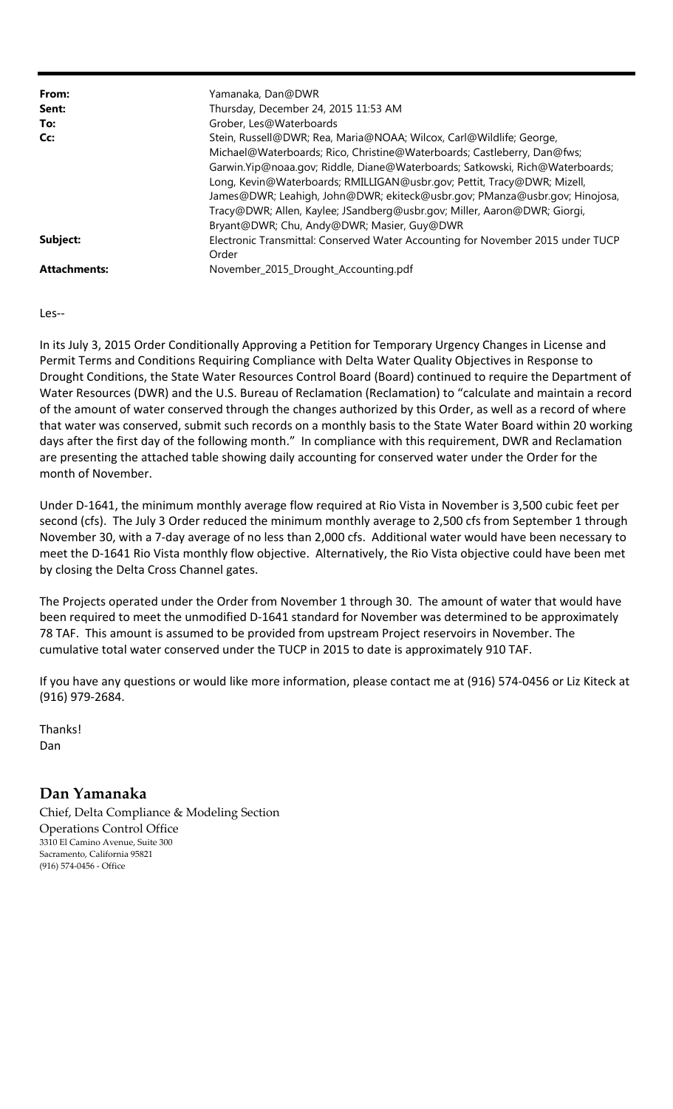| From:               | Yamanaka, Dan@DWR                                                               |  |  |  |  |  |
|---------------------|---------------------------------------------------------------------------------|--|--|--|--|--|
| Sent:               | Thursday, December 24, 2015 11:53 AM                                            |  |  |  |  |  |
| To:                 | Grober, Les@Waterboards                                                         |  |  |  |  |  |
| Cc:                 | Stein, Russell@DWR; Rea, Maria@NOAA; Wilcox, Carl@Wildlife; George,             |  |  |  |  |  |
|                     | Michael@Waterboards; Rico, Christine@Waterboards; Castleberry, Dan@fws;         |  |  |  |  |  |
|                     | Garwin. Yip@noaa.gov; Riddle, Diane@Waterboards; Satkowski, Rich@Waterboards;   |  |  |  |  |  |
|                     | Long, Kevin@Waterboards; RMILLIGAN@usbr.gov; Pettit, Tracy@DWR; Mizell,         |  |  |  |  |  |
|                     | James@DWR; Leahigh, John@DWR; ekiteck@usbr.gov; PManza@usbr.gov; Hinojosa,      |  |  |  |  |  |
|                     | Tracy@DWR; Allen, Kaylee; JSandberg@usbr.gov; Miller, Aaron@DWR; Giorgi,        |  |  |  |  |  |
|                     | Bryant@DWR; Chu, Andy@DWR; Masier, Guy@DWR                                      |  |  |  |  |  |
| Subject:            | Electronic Transmittal: Conserved Water Accounting for November 2015 under TUCP |  |  |  |  |  |
|                     | Order                                                                           |  |  |  |  |  |
| <b>Attachments:</b> | November_2015_Drought_Accounting.pdf                                            |  |  |  |  |  |

## Les‐‐

In its July 3, 2015 Order Conditionally Approving a Petition for Temporary Urgency Changes in License and Permit Terms and Conditions Requiring Compliance with Delta Water Quality Objectives in Response to Drought Conditions, the State Water Resources Control Board (Board) continued to require the Department of Water Resources (DWR) and the U.S. Bureau of Reclamation (Reclamation) to "calculate and maintain a record of the amount of water conserved through the changes authorized by this Order, as well as a record of where that water was conserved, submit such records on a monthly basis to the State Water Board within 20 working days after the first day of the following month." In compliance with this requirement, DWR and Reclamation are presenting the attached table showing daily accounting for conserved water under the Order for the month of November.

Under D‐1641, the minimum monthly average flow required at Rio Vista in November is 3,500 cubic feet per second (cfs). The July 3 Order reduced the minimum monthly average to 2,500 cfs from September 1 through November 30, with a 7‐day average of no less than 2,000 cfs. Additional water would have been necessary to meet the D‐1641 Rio Vista monthly flow objective. Alternatively, the Rio Vista objective could have been met by closing the Delta Cross Channel gates.

The Projects operated under the Order from November 1 through 30. The amount of water that would have been required to meet the unmodified D-1641 standard for November was determined to be approximately 78 TAF. This amount is assumed to be provided from upstream Project reservoirs in November. The cumulative total water conserved under the TUCP in 2015 to date is approximately 910 TAF.

If you have any questions or would like more information, please contact me at (916) 574‐0456 or Liz Kiteck at (916) 979‐2684.

Thanks! Dan

## **Dan Yamanaka**

Chief, Delta Compliance & Modeling Section Operations Control Office 3310 El Camino Avenue, Suite 300 Sacramento, California 95821 (916) 574‐0456 ‐ Office